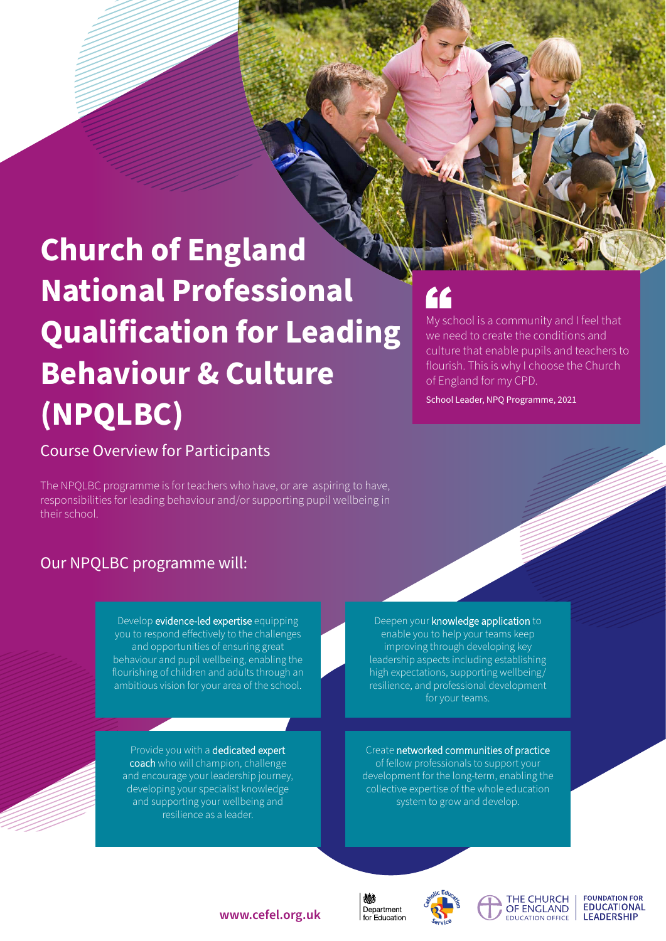# **Church of England National Professional Qualification for Leading Behaviour & Culture (NPQLBC)**

## Course Overview for Participants

The NPQLBC programme is for teachers who have, or are aspiring to have, responsibilities for leading behaviour and/or supporting pupil wellbeing in their school.

# Our NPQLBC programme will:

Develop **evidence-led expertise** equipping you to respond effectively to the challenges and opportunities of ensuring great behaviour and pupil wellbeing, enabling the flourishing of children and adults through an ambitious vision for your area of the school.

Provide you with a dedicated expert coach who will champion, challenge and encourage your leadership journey, developing your specialist knowledge and supporting your wellbeing and resilience as a leader.

# <u>FF</u>

My school is a community and I feel that we need to create the conditions and culture that enable pupils and teachers to flourish. This is why I choose the Church of England for my CPD.

School Leader, NPQ Programme, 2021

Deepen your knowledge application to enable you to help your teams keep improving through developing key leadership aspects including establishing high expectations, supporting wellbeing/ resilience, and professional development

Create networked communities of practice of fellow professionals to support your development for the long-term, enabling the collective expertise of the whole education system to grow and develop.







**FOUNDATION FOR EDUCATIONAL LEADERSHIP** 

### **www.cefel.org.uk**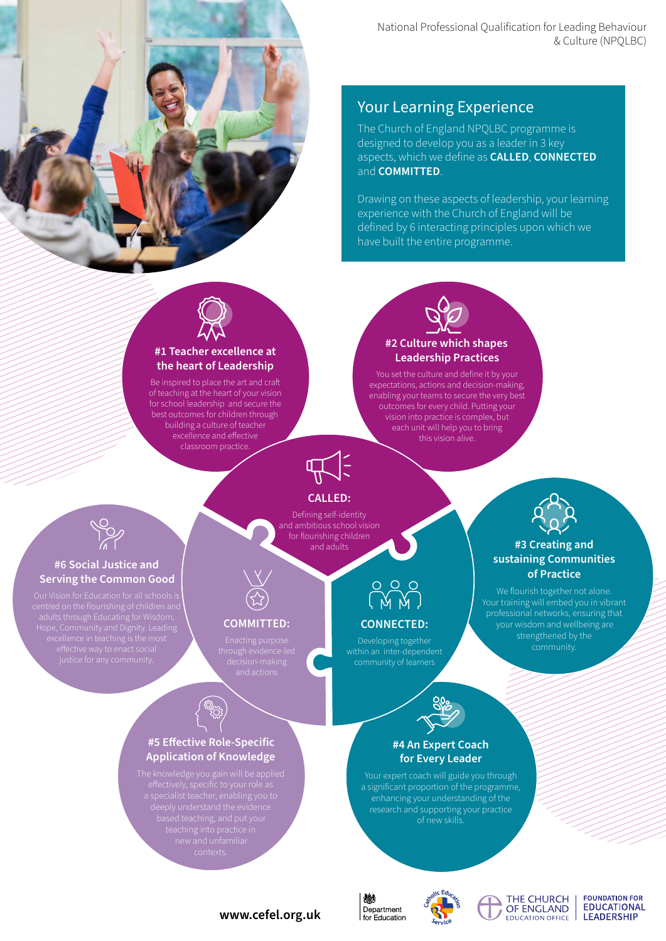

### Your Learning Experience

The Church of England NPQLBC programme is designed to develop you as a leader in 3 key aspects, which we define as **CALLED**, **CONNECTED** and **COMMITTED**.

Drawing on these aspects of leadership, your learning experience with the Church of England will be defined by 6 interacting principles upon which we have built the entire programme.



#### **#1 Teacher excellence at the heart of Leadership**

Be inspired to place the art and craft of teaching at the heart of your vision for school leadership and secure the best outcomes for children through building a culture of teacher excellence and effective classroom practice.



You set the culture and define it by your expectations, actions and decision-making, enabling your teams to secure the very best outcomes for every child. Putting your vision into practice is complex, but each unit will help you to bring this vision alive.



### **CALLED:**

Defining self-identity and ambitious school vision for flourishing children and adults



**#3 Creating and sustaining Communities of Practice** We flourish together not alone. Your training will embed you in vibrant professional networks, ensuring that your wisdom and wellbeing are strengthened by the community.



#### **#6 Social Justice and Serving the Common Good**



#### **COMMITTED:**

**#5 Effective Role-Specific Application of Knowledge**

# **CONNECTED:**

Developing together



#### **#4 An Expert Coach for Every Leader**

Your expert coach will guide you through a significant proportion of the programme, enhancing your understanding of the research and supporting your practice of new skills.



燃





#### **FOUNDATION FOR EDUCATIONAL LEADERSHIP**

### **www.cefel.org.uk**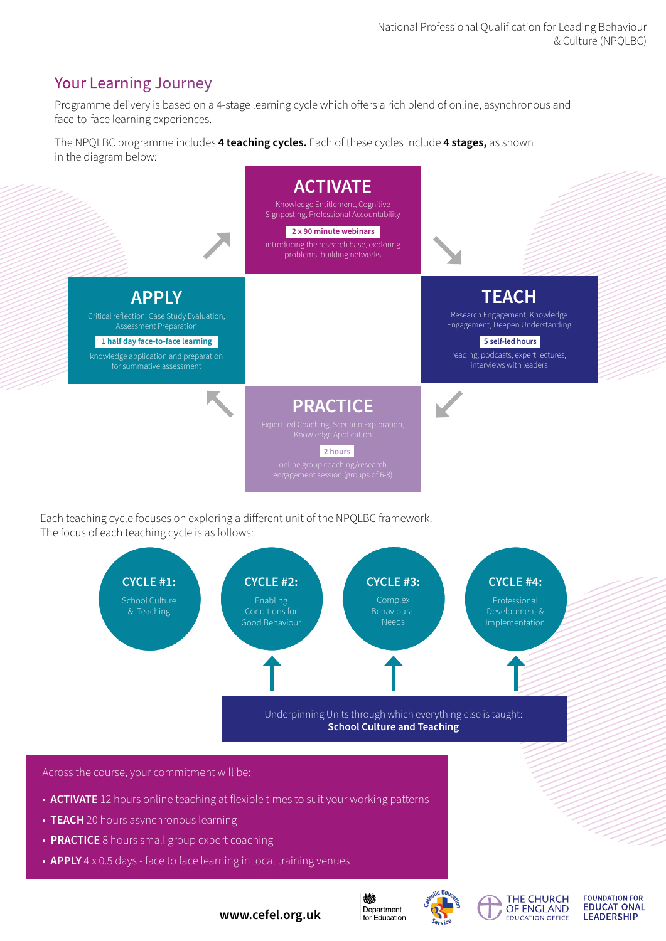# Your Learning Journey

Programme delivery is based on a 4-stage learning cycle which offers a rich blend of online, asynchronous and face-to-face learning experiences.

The NPQLBC programme includes **4 teaching cycles.** Each of these cycles include **4 stages,** as shown in the diagram below:



Each teaching cycle focuses on exploring a different unit of the NPQLBC framework. The focus of each teaching cycle is as follows:



- **ACTIVATE** 12 hours online teaching at flexible times to suit your working patterns
- **TEACH** 20 hours asynchronous learning
- **PRACTICE** 8 hours small group expert coaching
- **APPLY** 4 x 0.5 days face to face learning in local training venues



燃



THE CHURCH

OF ENGLAND

**EDUCATION OFFICE** 

**FOUNDATION FOR EDUCATIONAL LEADERSHIP** 

**www.cefel.org.uk**